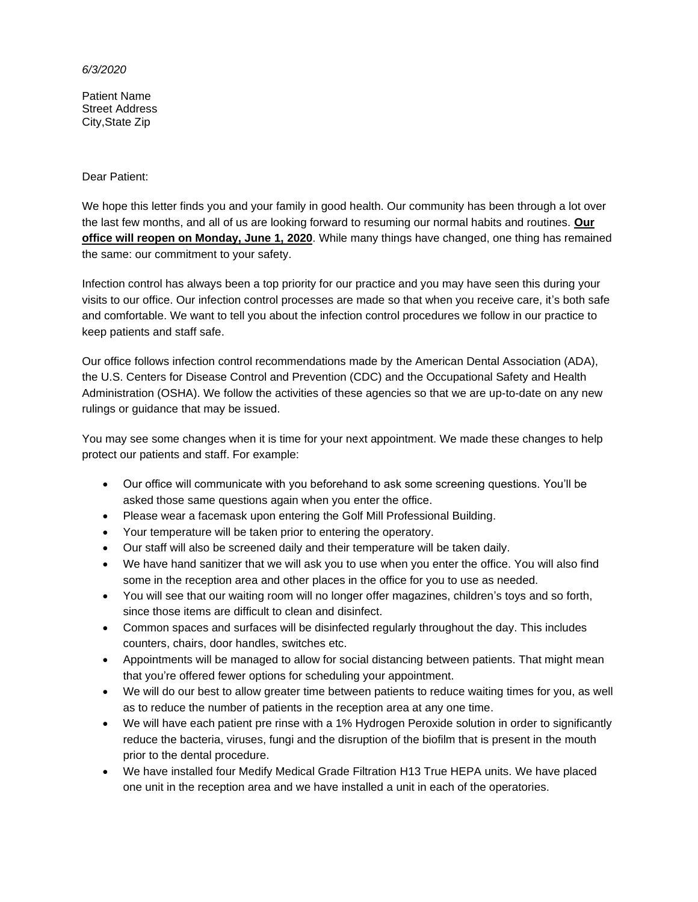## *6/3/2020*

Patient Name Street Address City,State Zip

## Dear Patient:

We hope this letter finds you and your family in good health. Our community has been through a lot over the last few months, and all of us are looking forward to resuming our normal habits and routines. **Our office will reopen on Monday, June 1, 2020**. While many things have changed, one thing has remained the same: our commitment to your safety.

Infection control has always been a top priority for our practice and you may have seen this during your visits to our office. Our infection control processes are made so that when you receive care, it's both safe and comfortable. We want to tell you about the infection control procedures we follow in our practice to keep patients and staff safe.

Our office follows infection control recommendations made by the American Dental Association (ADA), the U.S. Centers for Disease Control and Prevention (CDC) and the Occupational Safety and Health Administration (OSHA). We follow the activities of these agencies so that we are up-to-date on any new rulings or guidance that may be issued.

You may see some changes when it is time for your next appointment. We made these changes to help protect our patients and staff. For example:

- Our office will communicate with you beforehand to ask some screening questions. You'll be asked those same questions again when you enter the office.
- Please wear a facemask upon entering the Golf Mill Professional Building.
- Your temperature will be taken prior to entering the operatory.
- Our staff will also be screened daily and their temperature will be taken daily.
- We have hand sanitizer that we will ask you to use when you enter the office. You will also find some in the reception area and other places in the office for you to use as needed.
- You will see that our waiting room will no longer offer magazines, children's toys and so forth, since those items are difficult to clean and disinfect.
- Common spaces and surfaces will be disinfected regularly throughout the day. This includes counters, chairs, door handles, switches etc.
- Appointments will be managed to allow for social distancing between patients. That might mean that you're offered fewer options for scheduling your appointment.
- We will do our best to allow greater time between patients to reduce waiting times for you, as well as to reduce the number of patients in the reception area at any one time.
- We will have each patient pre rinse with a 1% Hydrogen Peroxide solution in order to significantly reduce the bacteria, viruses, fungi and the disruption of the biofilm that is present in the mouth prior to the dental procedure.
- We have installed four Medify Medical Grade Filtration H13 True HEPA units. We have placed one unit in the reception area and we have installed a unit in each of the operatories.